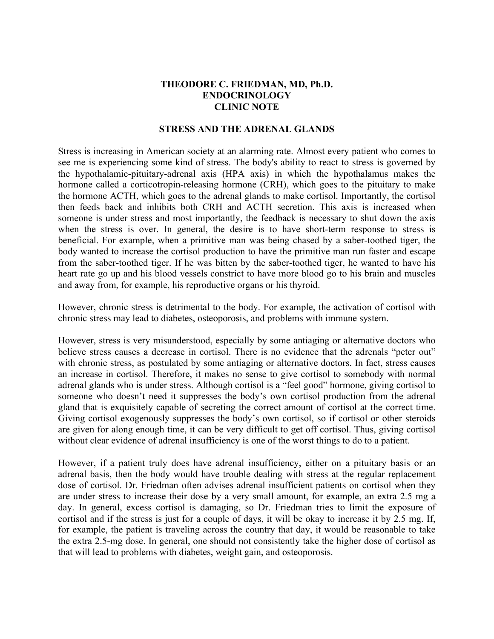## **THEODORE C. FRIEDMAN, MD, Ph.D. ENDOCRINOLOGY CLINIC NOTE**

## **STRESS AND THE ADRENAL GLANDS**

Stress is increasing in American society at an alarming rate. Almost every patient who comes to see me is experiencing some kind of stress. The body's ability to react to stress is governed by the hypothalamic-pituitary-adrenal axis (HPA axis) in which the hypothalamus makes the hormone called a corticotropin-releasing hormone (CRH), which goes to the pituitary to make the hormone ACTH, which goes to the adrenal glands to make cortisol. Importantly, the cortisol then feeds back and inhibits both CRH and ACTH secretion. This axis is increased when someone is under stress and most importantly, the feedback is necessary to shut down the axis when the stress is over. In general, the desire is to have short-term response to stress is beneficial. For example, when a primitive man was being chased by a saber-toothed tiger, the body wanted to increase the cortisol production to have the primitive man run faster and escape from the saber-toothed tiger. If he was bitten by the saber-toothed tiger, he wanted to have his heart rate go up and his blood vessels constrict to have more blood go to his brain and muscles and away from, for example, his reproductive organs or his thyroid.

However, chronic stress is detrimental to the body. For example, the activation of cortisol with chronic stress may lead to diabetes, osteoporosis, and problems with immune system.

However, stress is very misunderstood, especially by some antiaging or alternative doctors who believe stress causes a decrease in cortisol. There is no evidence that the adrenals "peter out" with chronic stress, as postulated by some antiaging or alternative doctors. In fact, stress causes an increase in cortisol. Therefore, it makes no sense to give cortisol to somebody with normal adrenal glands who is under stress. Although cortisol is a "feel good" hormone, giving cortisol to someone who doesn't need it suppresses the body's own cortisol production from the adrenal gland that is exquisitely capable of secreting the correct amount of cortisol at the correct time. Giving cortisol exogenously suppresses the body's own cortisol, so if cortisol or other steroids are given for along enough time, it can be very difficult to get off cortisol. Thus, giving cortisol without clear evidence of adrenal insufficiency is one of the worst things to do to a patient.

However, if a patient truly does have adrenal insufficiency, either on a pituitary basis or an adrenal basis, then the body would have trouble dealing with stress at the regular replacement dose of cortisol. Dr. Friedman often advises adrenal insufficient patients on cortisol when they are under stress to increase their dose by a very small amount, for example, an extra 2.5 mg a day. In general, excess cortisol is damaging, so Dr. Friedman tries to limit the exposure of cortisol and if the stress is just for a couple of days, it will be okay to increase it by 2.5 mg. If, for example, the patient is traveling across the country that day, it would be reasonable to take the extra 2.5-mg dose. In general, one should not consistently take the higher dose of cortisol as that will lead to problems with diabetes, weight gain, and osteoporosis.